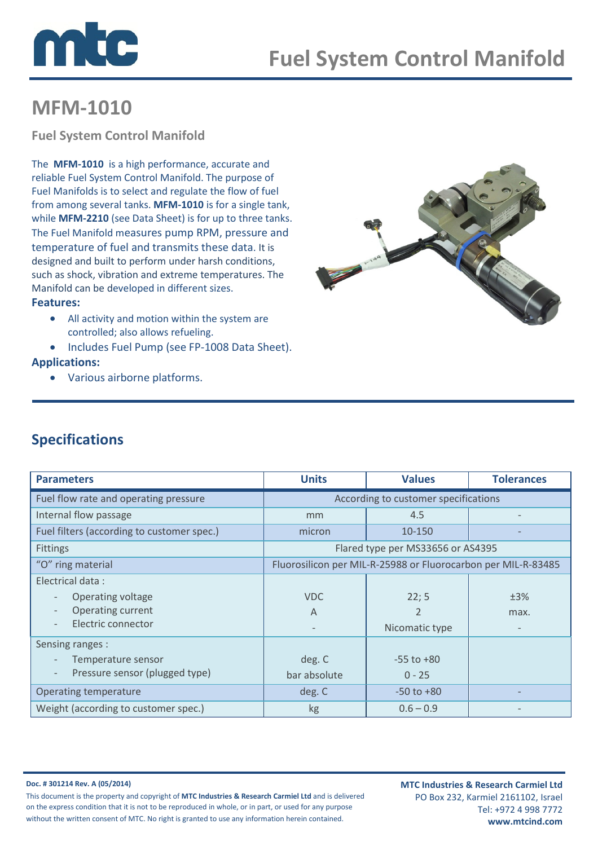



# MFM-1010

Fuel System Control Manifold

 reliable Fuel System Control Manifold. The purpose of The MFM-1010 is a high performance, accurate and Fuel Manifolds is to select and regulate the flow of fuel from among several tanks. MFM-1010 is for a single tank, while **MFM-2210** (see Data Sheet) is for up to three tanks. The Fuel Manifold measures pump RPM, pressure and temperature of fuel and transmits these data. It is designed and built to perform under harsh conditions, such as shock, vibration and extreme temperatures. The Manifold can be developed in different sizes.

#### Features:

- All activity and motion within the system are controlled; also allows refueling.
- Includes Fuel Pump (see FP-1008 Data Sheet).

#### Applications:

• Various airborne platforms.



### Specifications

| <b>Parameters</b>                                          | <b>Units</b>                                                  | <b>Values</b>  | <b>Tolerances</b> |
|------------------------------------------------------------|---------------------------------------------------------------|----------------|-------------------|
| Fuel flow rate and operating pressure                      | According to customer specifications                          |                |                   |
| Internal flow passage                                      | mm                                                            | 4.5            |                   |
| Fuel filters (according to customer spec.)                 | micron                                                        | 10-150         |                   |
| <b>Fittings</b>                                            | Flared type per MS33656 or AS4395                             |                |                   |
| "O" ring material                                          | Fluorosilicon per MIL-R-25988 or Fluorocarbon per MIL-R-83485 |                |                   |
| Electrical data:                                           |                                                               |                |                   |
| Operating voltage                                          | <b>VDC</b>                                                    | 22; 5          | ±3%               |
| Operating current<br>$\overline{\phantom{a}}$              | A                                                             | $\overline{2}$ | max.              |
| Electric connector                                         | $\overline{\phantom{a}}$                                      | Nicomatic type |                   |
| Sensing ranges :                                           |                                                               |                |                   |
| Temperature sensor                                         | deg. C                                                        | $-55$ to $+80$ |                   |
| Pressure sensor (plugged type)<br>$\overline{\phantom{a}}$ | bar absolute                                                  | $0 - 25$       |                   |
| Operating temperature                                      | deg. C                                                        | $-50$ to $+80$ |                   |
| Weight (according to customer spec.)                       | kg                                                            | $0.6 - 0.9$    |                   |

Doc. # 301214 Rev. A (05/2014) This document is the property and copyright of MTC Industries & Research Carmiel Ltd and is delivered on the express condition that it is not to be reproduced in whole, or in part, or used for any purpose without the written consent of MTC. No right is granted to use any information herein contained.

MTC Industries & Research Carmiel Ltd PO Box 232, Karmiel 2161102, Israel Tel: +972 4 998 7772 www.mtcind.com